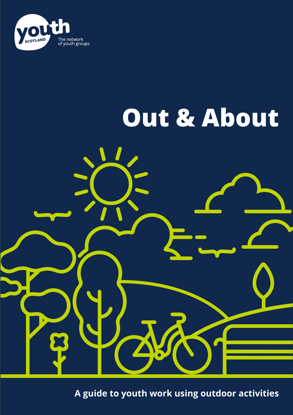

# **Out & About**



**A guide to youth work using outdoor activities**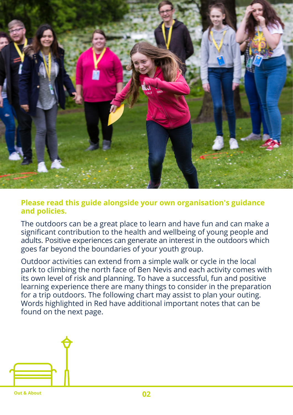

### **Please read this guide alongside your own organisation's guidance and policies.**

The outdoors can be a great place to learn and have fun and can make a significant contribution to the health and wellbeing of young people and adults. Positive experiences can generate an interest in the outdoors which goes far beyond the boundaries of your youth group.

Outdoor activities can extend from a simple walk or cycle in the local park to climbing the north face of Ben Nevis and each activity comes with its own level of risk and planning. To have a successful, fun and positive learning experience there are many things to consider in the preparation for a trip outdoors. The following chart may assist to plan your outing. Words highlighted in Red have additional important notes that can be found on the next page.

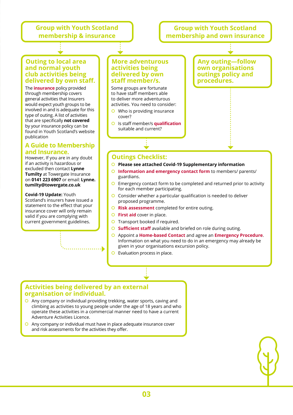#### **Group with Youth Scotland membership & insurance**

#### **Group with Youth Scotland membership and own insurance**

#### **Outing to local area and normal youth club activities being delivered by own staff.**

The **insurance** policy provided through membership covers general activities that Insurers would expect youth groups to be involved in and is adequate for this type of outing. A list of activities that are specifically **not covered**  by your insurance policy can be found in Youth Scotland's website publication

#### **A Guide to Membership and Insurance.**

However, If you are in any doubt if an activity is hazardous or excluded then contact **Lynne Tumilty** at Towergate Insurance on **0141 223 6907** or email: **Lynne. tumilty@towergate.co.uk**

**Covid-19 Update:** Youth Scotland's insurers have issued a statement to the effect that your insurance cover will only remain valid if you are complying with current government guidelines.

#### **More adventurous activities being delivered by own staff member/s.**

Some groups are fortunate to have staff members able to deliver more adventurous activities. You need to consider:

- Who is providing insurance cover?
- Is staff member/s **qualification**  suitable and current?

**Any outing—follow own organisations outings policy and procedures.** 

#### **Outings Checklist:**

- **Please see attached Covid-19 Supplementary information**
- **Information and emergency contact form** to members/ parents/ guardians.
- **O** Emergency contact form to be completed and returned prior to activity for each member participating.
- **O** Consider whether a particular qualification is needed to deliver proposed programme.
- **Risk assessment** completed for entire outing.
- **C** First aid cover in place.
- **O** Transport booked if required.
- **Sufficient staff** available and briefed on role during outing.
- Appoint a **Home-based Contact** and agree an **Emergency Procedure**. Information on what you need to do in an emergency may already be given in your organisations excursion policy.
- **O** Evaluation process in place.

#### **Activities being delivered by an external organisation or individual.**

- Any company or individual providing trekking, water sports, caving and climbing as activities to young people under the age of 18 years and who operate these activities in a commercial manner need to have a current Adventure Activities Licence.
- Any company or individual must have in place adequate insurance cover and risk assessments for the activities they offer.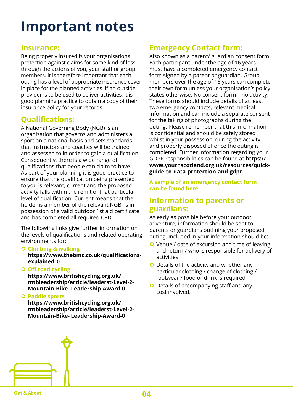# **Important notes**

#### **Insurance:**

Being properly insured is your organisations protection against claims for some kind of loss through the actions of you, your staff or group members. It is therefore important that each outing has a level of appropriate insurance cover in place for the planned activities. If an outside provider is to be used to deliver activities, it is good planning practice to obtain a copy of their insurance policy for your records.

#### **Qualifications:**

A National Governing Body (NGB) is an organisation that governs and administers a sport on a national basis and sets standards that instructors and coaches will be trained and assessed to in order to gain a qualification. Consequently, there is a wide range of qualifications that people can claim to have. As part of your planning it is good practice to ensure that the qualification being presented to you is relevant, current and the proposed activity falls within the remit of that particular level of qualification. Current means that the holder is a member of the relevant NGB, is in possession of a valid outdoor 1st aid certificate and has completed all required CPD.

The following links give further information on the levels of qualifications and related operating environments for:

#### **Climbing & walking**

**https://www.thebmc.co.uk/qualificationsexplained\_0**

**O** Off road cycling

**https://www.britishcycling.org.uk/ mtbleadership/article/leaderst-Level-2- Mountain-Bike- Leadership-Award-0**

**Paddle sports**

**https://www.britishcycling.org.uk/ mtbleadership/article/leaderst-Level-2- Mountain-Bike- Leadership-Award-0**

# **Emergency Contact form:**

Also known as a parent/ guardian consent form. Each participant under the age of 16 years must have a completed emergency contact form signed by a parent or guardian. Group members over the age of 16 years can complete their own form unless your organisation's policy states otherwise. No consent form—no activity! These forms should include details of at least two emergency contacts, relevant medical information and can include a separate consent for the taking of photographs during the outing. Please remember that this information is confidential and should be safely stored whilst in your possession, during the activity and properly disposed of once the outing is completed. Further information regarding your GDPR responsibilities can be found at **https:// www.youthscotland.org.uk/resources/quickguide-to-data-protection-and-gdpr**

**A sample of an emergency contact form can be found here.** 

#### **Information to parents or guardians:**

As early as possible before your outdoor adventure, information should be sent to parents or guardians outlining your proposed outing. Included in your information should be:

- **O** Venue / date of excursion and time of leaving and return / who is responsible for delivery of activities
- **O** Details of the activity and whether any particular clothing / change of clothing / footwear / food or drink is required
- O Details of accompanying staff and any cost involved.

**Out & About 04**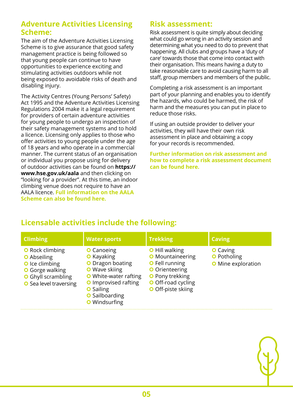### **Adventure Activities Licensing Scheme:**

The aim of the Adventure Activities Licensing Scheme is to give assurance that good safety management practice is being followed so that young people can continue to have opportunities to experience exciting and stimulating activities outdoors while not being exposed to avoidable risks of death and disabling injury.

The Activity Centres (Young Persons' Safety) Act 1995 and the Adventure Activities Licensing Regulations 2004 make it a legal requirement for providers of certain adventure activities for young people to undergo an inspection of their safety management systems and to hold a licence. Licensing only applies to those who offer activities to young people under the age of 18 years and who operate in a commercial manner. The current status of an organisation or individual you propose using for delivery of outdoor activities can be found on **https:// www.hse.gov.uk/aala** and then clicking on "looking for a provider". At this time, an indoor climbing venue does not require to have an AALA licence. **Full information on the AALA Scheme can also be found here.** 

# **Risk assessment:**

Risk assessment is quite simply about deciding what could go wrong in an activity session and determining what you need to do to prevent that happening. All clubs and groups have a 'duty of care' towards those that come into contact with their organisation. This means having a duty to take reasonable care to avoid causing harm to all staff, group members and members of the public.

Completing a risk assessment is an important part of your planning and enables you to identify the hazards, who could be harmed, the risk of harm and the measures you can put in place to reduce those risks.

If using an outside provider to deliver your activities, they will have their own risk assessment in place and obtaining a copy for your records is recommended.

**Further information on risk assessment and how to complete a risk assessment document can be found here.** 

# **Licensable activities include the following:**

| <b>Climbing</b>                                                                                                                                               | <b>Water sports</b>                                                                                                                                                                                                    | <b>Trekking</b>                                                                                                                                                   | <b>Caving</b>                                                      |
|---------------------------------------------------------------------------------------------------------------------------------------------------------------|------------------------------------------------------------------------------------------------------------------------------------------------------------------------------------------------------------------------|-------------------------------------------------------------------------------------------------------------------------------------------------------------------|--------------------------------------------------------------------|
| <b>O</b> Rock climbing<br><b>O</b> Abseiling<br><b>O</b> Ice climbing<br><b>O</b> Gorge walking<br><b>O</b> Ghyll scrambling<br><b>O</b> Sea level traversing | <b>O</b> Canoeing<br><b>O</b> Kayaking<br>O Dragon boating<br><b>O</b> Wave skiing<br><b>O</b> White-water rafting<br><b>O</b> Improvised rafting<br><b>O</b> Sailing<br><b>O</b> Sailboarding<br><b>O</b> Windsurfing | <b>O</b> Hill walking<br><b>O</b> Mountaineering<br><b>O</b> Fell running<br><b>O</b> Orienteering<br>O Pony trekking<br>O Off-road cycling<br>O Off-piste skiing | <b>O</b> Caving<br><b>O</b> Potholing<br><b>O</b> Mine exploration |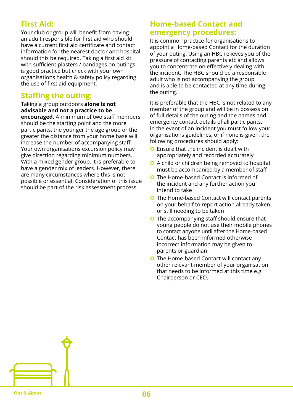# **First Aid:**

Your club or group will benefit from having an adult responsible for first aid who should have a current first aid certificate and contact information for the nearest doctor and hospital should this be required. Taking a first aid kit with sufficient plasters / bandages on outings is good practice but check with your own organisations health & safety policy regarding the use of first aid equipment.

# **Staffing the outing:**

#### Taking a group outdoors **alone is not advisable and not a practice to be**

**encouraged.** A minimum of two staff members should be the starting point and the more participants, the younger the age group or the greater the distance from your home base will increase the number of accompanying staff. Your own organisations excursion policy may give direction regarding minimum numbers. With a mixed gender group, it is preferable to have a gender mix of leaders. However, there are many circumstances where this is not possible or essential. Consideration of this issue should be part of the risk assessment process.

# **Home-based Contact and emergency procedures:**

It is common practice for organisations to appoint a Home-based Contact for the duration of your outing. Using an HBC relieves you of the pressure of contacting parents etc and allows you to concentrate on effectively dealing with the incident. The HBC should be a responsible adult who is not accompanying the group and is able to be contacted at any time during the outing.

It is preferable that the HBC is not related to any member of the group and will be in possession of full details of the outing and the names and emergency contact details of all participants. In the event of an incident you must follow your organisations guidelines, or if none is given, the following procedures should apply:

- **O** Ensure that the incident is dealt with appropriately and recorded accurately
- **O** A child or children being removed to hospital must be accompanied by a member of staff
- **O** The Home-based Contact is informed of the incident and any further action you intend to take
- **O** The Home-based Contact will contact parents on your behalf to report action already taken or still needing to be taken
- **O** The accompanying staff should ensure that young people do not use their mobile phones to contact anyone until after the Home-based Contact has been informed otherwise incorrect information may be given to parents or guardian
- **O** The Home-based Contact will contact any other relevant member of your organisation that needs to be informed at this time e.g. Chairperson or CEO.

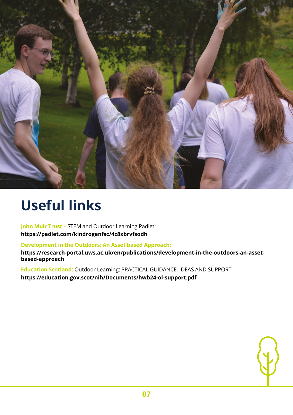

# **Useful links**

**John Muir Trust –** STEM and Outdoor Learning Padlet: **https://padlet.com/kindroganfsc/4c8xbrvfsodh** 

**Development in the Outdoors: An Asset based Approach:** 

**https://research-portal.uws.ac.uk/en/publications/development-in-the-outdoors-an-assetbased-approach** 

**Education Scotland:** Outdoor Learning: PRACTICAL GUIDANCE, IDEAS AND SUPPORT **https://education.gov.scot/nih/Documents/hwb24-ol-support.pdf**